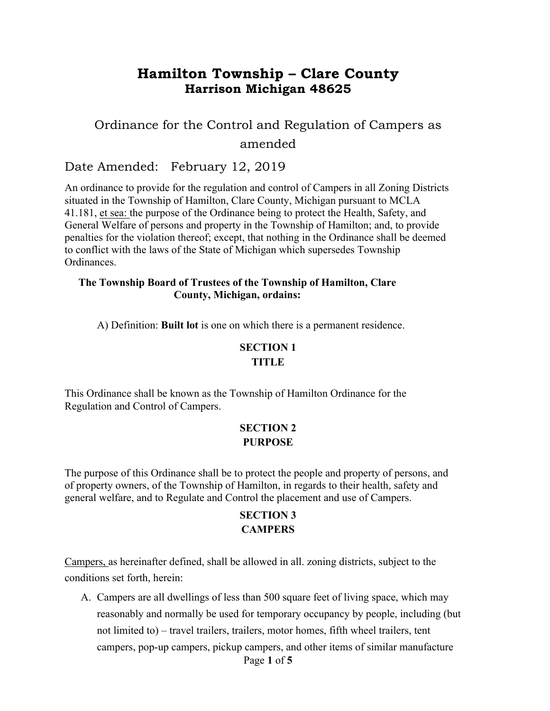# **Hamilton Township – Clare County Harrison Michigan 48625**

# Ordinance for the Control and Regulation of Campers as amended

## Date Amended: February 12, 2019

An ordinance to provide for the regulation and control of Campers in all Zoning Districts situated in the Township of Hamilton, Clare County, Michigan pursuant to MCLA 41.181, et sea: the purpose of the Ordinance being to protect the Health, Safety, and General Welfare of persons and property in the Township of Hamilton; and, to provide penalties for the violation thereof; except, that nothing in the Ordinance shall be deemed to conflict with the laws of the State of Michigan which supersedes Township Ordinances.

#### **The Township Board of Trustees of the Township of Hamilton, Clare County, Michigan, ordains:**

A) Definition: **Built lot** is one on which there is a permanent residence.

### **SECTION 1**

#### **TITLE**

This Ordinance shall be known as the Township of Hamilton Ordinance for the Regulation and Control of Campers.

### **SECTION 2 PURPOSE**

The purpose of this Ordinance shall be to protect the people and property of persons, and of property owners, of the Township of Hamilton, in regards to their health, safety and general welfare, and to Regulate and Control the placement and use of Campers.

### **SECTION 3 CAMPERS**

Campers, as hereinafter defined, shall be allowed in all. zoning districts, subject to the conditions set forth, herein:

Page **1** of **5** A. Campers are all dwellings of less than 500 square feet of living space, which may reasonably and normally be used for temporary occupancy by people, including (but not limited to) – travel trailers, trailers, motor homes, fifth wheel trailers, tent campers, pop-up campers, pickup campers, and other items of similar manufacture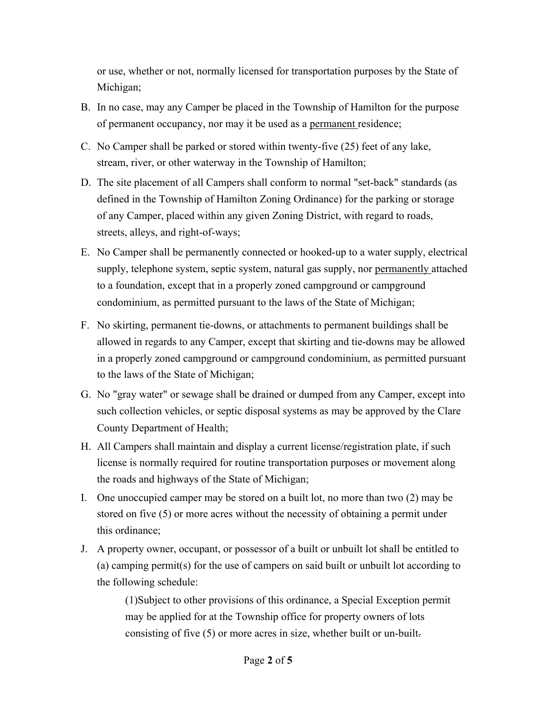or use, whether or not, normally licensed for transportation purposes by the State of Michigan;

- B. In no case, may any Camper be placed in the Township of Hamilton for the purpose of permanent occupancy, nor may it be used as a permanent residence;
- C. No Camper shall be parked or stored within twenty-five (25) feet of any lake, stream, river, or other waterway in the Township of Hamilton;
- D. The site placement of all Campers shall conform to normal "set-back" standards (as defined in the Township of Hamilton Zoning Ordinance) for the parking or storage of any Camper, placed within any given Zoning District, with regard to roads, streets, alleys, and right-of-ways;
- E. No Camper shall be permanently connected or hooked-up to a water supply, electrical supply, telephone system, septic system, natural gas supply, nor permanently attached to a foundation, except that in a properly zoned campground or campground condominium, as permitted pursuant to the laws of the State of Michigan;
- F. No skirting, permanent tie-downs, or attachments to permanent buildings shall be allowed in regards to any Camper, except that skirting and tie-downs may be allowed in a properly zoned campground or campground condominium, as permitted pursuant to the laws of the State of Michigan;
- G. No "gray water" or sewage shall be drained or dumped from any Camper, except into such collection vehicles, or septic disposal systems as may be approved by the Clare County Department of Health;
- H. All Campers shall maintain and display a current license/registration plate, if such license is normally required for routine transportation purposes or movement along the roads and highways of the State of Michigan;
- I. One unoccupied camper may be stored on a built lot, no more than two (2) may be stored on five (5) or more acres without the necessity of obtaining a permit under this ordinance;
- J. A property owner, occupant, or possessor of a built or unbuilt lot shall be entitled to (a) camping permit(s) for the use of campers on said built or unbuilt lot according to the following schedule:

(1)Subject to other provisions of this ordinance, a Special Exception permit may be applied for at the Township office for property owners of lots consisting of five (5) or more acres in size, whether built or un-built.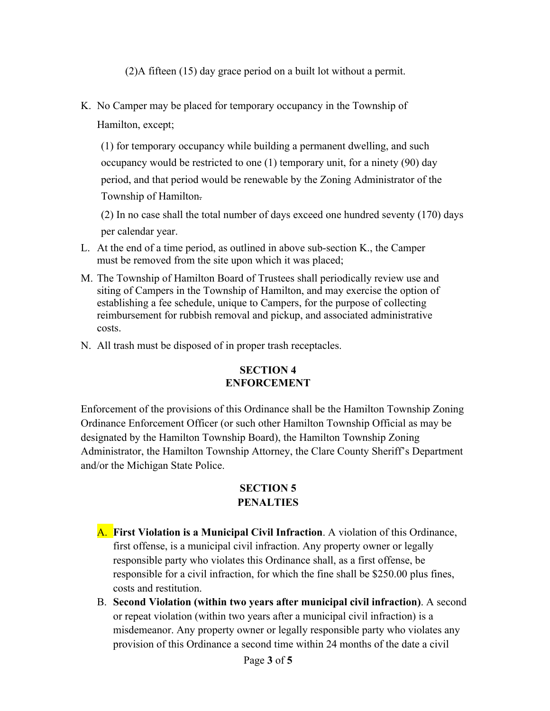(2)A fifteen (15) day grace period on a built lot without a permit.

K. No Camper may be placed for temporary occupancy in the Township of Hamilton, except;

(1) for temporary occupancy while building a permanent dwelling, and such occupancy would be restricted to one (1) temporary unit, for a ninety (90) day period, and that period would be renewable by the Zoning Administrator of the Township of Hamilton.

(2) In no case shall the total number of days exceed one hundred seventy (170) days per calendar year.

- L. At the end of a time period, as outlined in above sub-section K., the Camper must be removed from the site upon which it was placed;
- M. The Township of Hamilton Board of Trustees shall periodically review use and siting of Campers in the Township of Hamilton, and may exercise the option of establishing a fee schedule, unique to Campers, for the purpose of collecting reimbursement for rubbish removal and pickup, and associated administrative costs.
- N. All trash must be disposed of in proper trash receptacles.

### **SECTION 4 ENFORCEMENT**

Enforcement of the provisions of this Ordinance shall be the Hamilton Township Zoning Ordinance Enforcement Officer (or such other Hamilton Township Official as may be designated by the Hamilton Township Board), the Hamilton Township Zoning Administrator, the Hamilton Township Attorney, the Clare County Sheriff's Department and/or the Michigan State Police.

### **SECTION 5 PENALTIES**

- A. **First Violation is a Municipal Civil Infraction**. A violation of this Ordinance, first offense, is a municipal civil infraction. Any property owner or legally responsible party who violates this Ordinance shall, as a first offense, be responsible for a civil infraction, for which the fine shall be \$250.00 plus fines, costs and restitution.
- B. **Second Violation (within two years after municipal civil infraction)**. A second or repeat violation (within two years after a municipal civil infraction) is a misdemeanor. Any property owner or legally responsible party who violates any provision of this Ordinance a second time within 24 months of the date a civil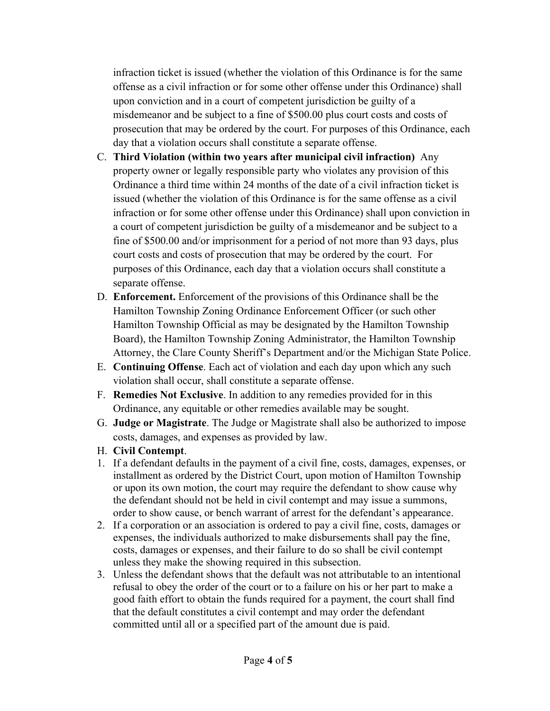infraction ticket is issued (whether the violation of this Ordinance is for the same offense as a civil infraction or for some other offense under this Ordinance) shall upon conviction and in a court of competent jurisdiction be guilty of a misdemeanor and be subject to a fine of \$500.00 plus court costs and costs of prosecution that may be ordered by the court. For purposes of this Ordinance, each day that a violation occurs shall constitute a separate offense.

- C. **Third Violation (within two years after municipal civil infraction)** Any property owner or legally responsible party who violates any provision of this Ordinance a third time within 24 months of the date of a civil infraction ticket is issued (whether the violation of this Ordinance is for the same offense as a civil infraction or for some other offense under this Ordinance) shall upon conviction in a court of competent jurisdiction be guilty of a misdemeanor and be subject to a fine of \$500.00 and/or imprisonment for a period of not more than 93 days, plus court costs and costs of prosecution that may be ordered by the court. For purposes of this Ordinance, each day that a violation occurs shall constitute a separate offense.
- D. **Enforcement.** Enforcement of the provisions of this Ordinance shall be the Hamilton Township Zoning Ordinance Enforcement Officer (or such other Hamilton Township Official as may be designated by the Hamilton Township Board), the Hamilton Township Zoning Administrator, the Hamilton Township Attorney, the Clare County Sheriff's Department and/or the Michigan State Police.
- E. **Continuing Offense**. Each act of violation and each day upon which any such violation shall occur, shall constitute a separate offense.
- F. **Remedies Not Exclusive**. In addition to any remedies provided for in this Ordinance, any equitable or other remedies available may be sought.
- G. **Judge or Magistrate**. The Judge or Magistrate shall also be authorized to impose costs, damages, and expenses as provided by law.
- H. **Civil Contempt**.
- 1. If a defendant defaults in the payment of a civil fine, costs, damages, expenses, or installment as ordered by the District Court, upon motion of Hamilton Township or upon its own motion, the court may require the defendant to show cause why the defendant should not be held in civil contempt and may issue a summons, order to show cause, or bench warrant of arrest for the defendant's appearance.
- 2. If a corporation or an association is ordered to pay a civil fine, costs, damages or expenses, the individuals authorized to make disbursements shall pay the fine, costs, damages or expenses, and their failure to do so shall be civil contempt unless they make the showing required in this subsection.
- 3. Unless the defendant shows that the default was not attributable to an intentional refusal to obey the order of the court or to a failure on his or her part to make a good faith effort to obtain the funds required for a payment, the court shall find that the default constitutes a civil contempt and may order the defendant committed until all or a specified part of the amount due is paid.